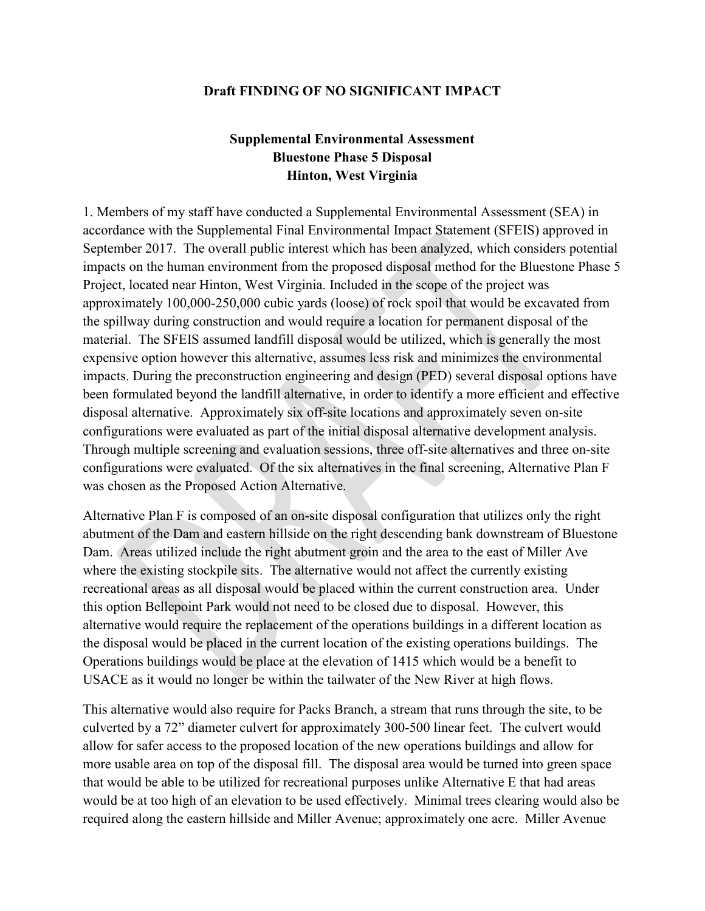## **Draft FINDING OF NO SIGNIFICANT IMPACT Supplemental Environmental Assessment**

## **Bluestone Phase 5 Disposal Hinton, West Virginia**

 impacts on the human environment from the proposed disposal method for the Bluestone Phase 5 approximately 100,000-250,000 cubic yards (loose) of rock spoil that would be excavated from been formulated beyond the landfill alternative, in order to identify a more efficient and effective disposal alternative. Approximately six off-site locations and approximately seven on-site configurations were evaluated. Of the six alternatives in the final screening, Alternative Plan F 1. Members of my staff have conducted a Supplemental Environmental Assessment (SEA) in accordance with the Supplemental Final Environmental Impact Statement (SFEIS) approved in Through multiple screening and evaluation sessions, three off-site alternatives and three on-site was chosen as the Proposed Action Alternative. September 2017. The overall public interest which has been analyzed, which considers potential Project, located near Hinton, West Virginia. Included in the scope of the project was the spillway during construction and would require a location for permanent disposal of the material. The SFEIS assumed landfill disposal would be utilized, which is generally the most expensive option however this alternative, assumes less risk and minimizes the environmental impacts. During the preconstruction engineering and design (PED) several disposal options have configurations were evaluated as part of the initial disposal alternative development analysis.

 abutment of the Dam and eastern hillside on the right descending bank downstream of Bluestone alternative would require the replacement of the operations buildings in a different location as Alternative Plan F is composed of an on-site disposal configuration that utilizes only the right Dam. Areas utilized include the right abutment groin and the area to the east of Miller Ave where the existing stockpile sits. The alternative would not affect the currently existing recreational areas as all disposal would be placed within the current construction area. Under this option Bellepoint Park would not need to be closed due to disposal. However, this the disposal would be placed in the current location of the existing operations buildings. The Operations buildings would be place at the elevation of 1415 which would be a benefit to USACE as it would no longer be within the tailwater of the New River at high flows.

 This alternative would also require for Packs Branch, a stream that runs through the site, to be allow for safer access to the proposed location of the new operations buildings and allow for more usable area on top of the disposal fill. The disposal area would be turned into green space required along the eastern hillside and Miller Avenue; approximately one acre. Miller Avenue culverted by a 72" diameter culvert for approximately 300-500 linear feet. The culvert would that would be able to be utilized for recreational purposes unlike Alternative E that had areas would be at too high of an elevation to be used effectively. Minimal trees clearing would also be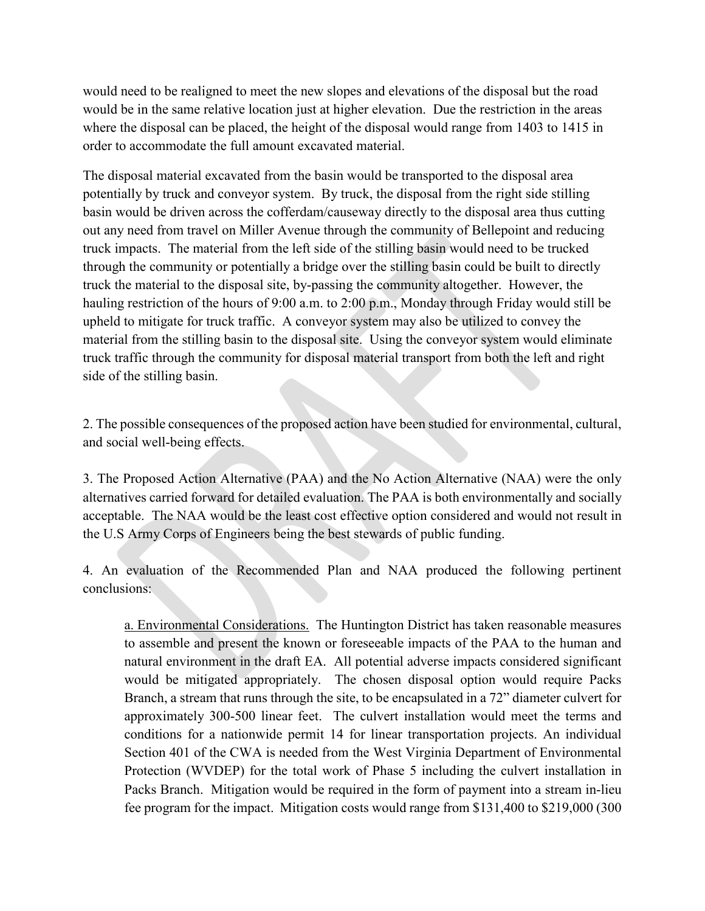would need to be realigned to meet the new slopes and elevations of the disposal but the road would be in the same relative location just at higher elevation. Due the restriction in the areas where the disposal can be placed, the height of the disposal would range from 1403 to 1415 in order to accommodate the full amount excavated material.

The disposal material excavated from the basin would be transported to the disposal area potentially by truck and conveyor system. By truck, the disposal from the right side stilling basin would be driven across the cofferdam/causeway directly to the disposal area thus cutting out any need from travel on Miller Avenue through the community of Bellepoint and reducing truck impacts. The material from the left side of the stilling basin would need to be trucked through the community or potentially a bridge over the stilling basin could be built to directly truck the material to the disposal site, by-passing the community altogether. However, the hauling restriction of the hours of 9:00 a.m. to 2:00 p.m., Monday through Friday would still be upheld to mitigate for truck traffic. A conveyor system may also be utilized to convey the material from the stilling basin to the disposal site. Using the conveyor system would eliminate truck traffic through the community for disposal material transport from both the left and right side of the stilling basin.

2. The possible consequences of the proposed action have been studied for environmental, cultural, and social well-being effects.

3. The Proposed Action Alternative (PAA) and the No Action Alternative (NAA) were the only alternatives carried forward for detailed evaluation. The PAA is both environmentally and socially acceptable. The NAA would be the least cost effective option considered and would not result in the U.S Army Corps of Engineers being the best stewards of public funding.

4. An evaluation of the Recommended Plan and NAA produced the following pertinent conclusions:

a. Environmental Considerations. The Huntington District has taken reasonable measures to assemble and present the known or foreseeable impacts of the PAA to the human and natural environment in the draft EA. All potential adverse impacts considered significant would be mitigated appropriately. The chosen disposal option would require Packs Branch, a stream that runs through the site, to be encapsulated in a 72" diameter culvert for approximately 300-500 linear feet. The culvert installation would meet the terms and conditions for a nationwide permit 14 for linear transportation projects. An individual Section 401 of the CWA is needed from the West Virginia Department of Environmental Protection (WVDEP) for the total work of Phase 5 including the culvert installation in Packs Branch. Mitigation would be required in the form of payment into a stream in-lieu fee program for the impact. Mitigation costs would range from \$131,400 to \$219,000 (300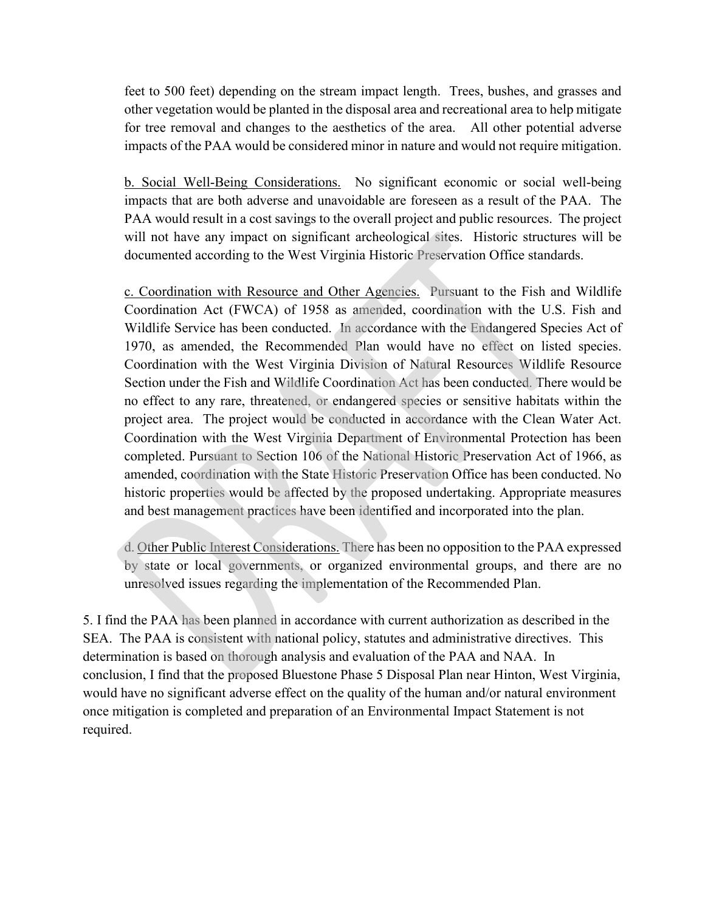feet to 500 feet) depending on the stream impact length. Trees, bushes, and grasses and other vegetation would be planted in the disposal area and recreational area to help mitigate for tree removal and changes to the aesthetics of the area. All other potential adverse impacts of the PAA would be considered minor in nature and would not require mitigation.

b. Social Well-Being Considerations. No significant economic or social well-being impacts that are both adverse and unavoidable are foreseen as a result of the PAA. The PAA would result in a cost savings to the overall project and public resources. The project will not have any impact on significant archeological sites. Historic structures will be documented according to the West Virginia Historic Preservation Office standards.

c. Coordination with Resource and Other Agencies. Pursuant to the Fish and Wildlife Coordination Act (FWCA) of 1958 as amended, coordination with the U.S. Fish and Wildlife Service has been conducted. In accordance with the Endangered Species Act of 1970, as amended, the Recommended Plan would have no effect on listed species. Coordination with the West Virginia Division of Natural Resources Wildlife Resource Section under the Fish and Wildlife Coordination Act has been conducted. There would be no effect to any rare, threatened, or endangered species or sensitive habitats within the project area. The project would be conducted in accordance with the Clean Water Act. Coordination with the West Virginia Department of Environmental Protection has been completed. Pursuant to Section 106 of the National Historic Preservation Act of 1966, as amended, coordination with the State Historic Preservation Office has been conducted. No historic properties would be affected by the proposed undertaking. Appropriate measures and best management practices have been identified and incorporated into the plan.

d. Other Public Interest Considerations. There has been no opposition to the PAA expressed by state or local governments, or organized environmental groups, and there are no unresolved issues regarding the implementation of the Recommended Plan.

5. I find the PAA has been planned in accordance with current authorization as described in the SEA. The PAA is consistent with national policy, statutes and administrative directives. This determination is based on thorough analysis and evaluation of the PAA and NAA. In conclusion, I find that the proposed Bluestone Phase 5 Disposal Plan near Hinton, West Virginia, would have no significant adverse effect on the quality of the human and/or natural environment once mitigation is completed and preparation of an Environmental Impact Statement is not required.